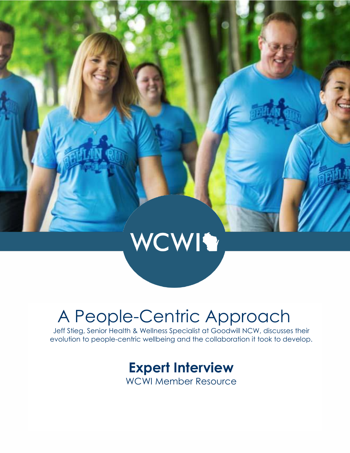# WCWIS

## A People-Centric Approach

Jeff Stieg, Senior Health & Wellness Specialist at Goodwill NCW, discusses their evolution to people-centric wellbeing and the collaboration it took to develop.

## **Expert Interview**

WCWI Member Resource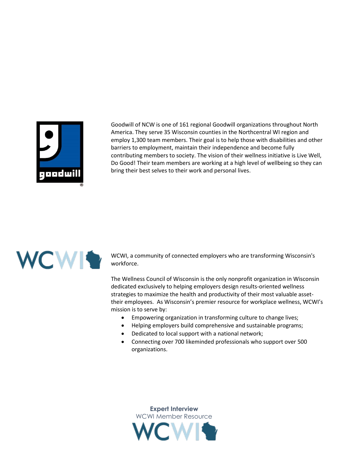

Goodwill of NCW is one of 161 regional Goodwill organizations throughout North America. They serve 35 Wisconsin counties in the Northcentral WI region and employ 1,300 team members. Their goal is to help those with disabilities and other barriers to employment, maintain their independence and become fully contributing members to society. The vision of their wellness initiative is Live Well, Do Good! Their team members are working at a high level of wellbeing so they can bring their best selves to their work and personal lives.



WCWI, a community of connected employers who are transforming Wisconsin's workforce.

The Wellness Council of Wisconsin is the only nonprofit organization in Wisconsin dedicated exclusively to helping employers design results-oriented wellness strategies to maximize the health and productivity of their most valuable assettheir employees. As Wisconsin's premier resource for workplace wellness, WCWI's mission is to serve by:

- Empowering organization in transforming culture to change lives;
- Helping employers build comprehensive and sustainable programs;
- Dedicated to local support with a national network;
- Connecting over 700 likeminded professionals who support over 500 organizations.

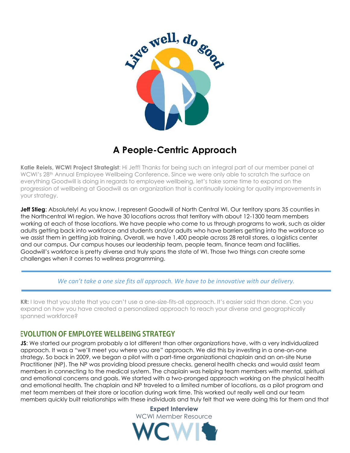

### **A People-Centric Approach**

**Katie Reiels, WCWI Project Strategist**: Hi Jeff! Thanks for being such an integral part of our member panel at WCWI's 28<sup>th</sup> Annual Employee Wellbeing Conference. Since we were only able to scratch the surface on everything Goodwill is doing in regards to employee wellbeing, let's take some time to expand on the progression of wellbeing at Goodwill as an organization that is continually looking for quality improvements in your strategy.

**Jeff Stieg**: Absolutely! As you know, I represent Goodwill of North Central WI. Our territory spans 35 counties in the Northcentral WI region. We have 30 locations across that territory with about 12-1300 team members working at each of those locations. We have people who come to us through programs to work, such as older adults getting back into workforce and students and/or adults who have barriers getting into the workforce so we assist them in getting job training. Overall, we have 1,400 people across 28 retail stores, a logistics center and our campus. Our campus houses our leadership team, people team, finance team and facilities. Goodwill's workforce is pretty diverse and truly spans the state of WI. Those two things can create some challenges when it comes to wellness programming.

*We can't take a one size fits all approach. We have to be innovative with our delivery.*

**KR:** I love that you state that you can't use a one-size-fits-all approach. It's easier said than done. Can you expand on how you have created a personalized approach to reach your diverse and geographically spanned workforce?

#### **EVOLUTION OF EMPLOYEE WELLBEING STRATEGY**

**JS:** We started our program probably a lot different than other organizations have, with a very individualized approach. It was a "we'll meet you where you are" approach. We did this by investing in a one-on-one strategy. So back in 2009, we began a pilot with a part-time organizational chaplain and an on-site Nurse Practitioner (NP). The NP was providing blood pressure checks, general health checks and would assist team members in connecting to the medical system. The chaplain was helping team members with mental, spiritual and emotional concerns and goals. We started with a two-pronged approach working on the physical health and emotional health. The chaplain and NP traveled to a limited number of locations, as a pilot program and met team members at their store or location during work time. This worked out really well and our team members quickly built relationships with these individuals and truly felt that we were doing this for them and that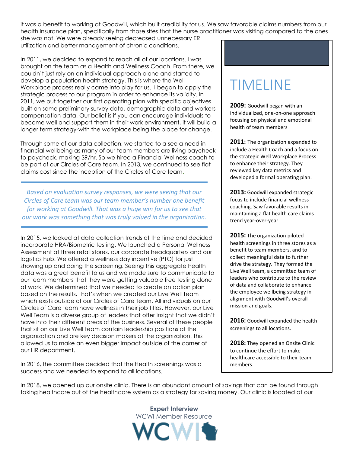it was a benefit to working at Goodwill, which built credibility for us. We saw favorable claims numbers from our health insurance plan, specifically from those sites that the nurse practitioner was visiting compared to the ones she was not. We were already seeing decreased unnecessary ER

utilization and better management of chronic conditions.

In 2011, we decided to expand to reach all of our locations. I was brought on the team as a Health and Wellness Coach. From there, we couldn't just rely on an individual approach alone and started to develop a population health strategy. This is where the Well Workplace process really came into play for us. I began to apply the strategic process to our program in order to enhance its validity. In 2011, we put together our first operating plan with specific objectives built on some preliminary survey data, demographic data and workers compensation data. Our belief is if you can encourage individuals to become well and support them in their work environment, it will build a longer term strategy-with the workplace being the place for change.

Through some of our data collection, we started to a see a need in financial wellbeing as many of our team members are living paycheck to paycheck, making \$9/hr. So we hired a Financial Wellness coach to be part of our Circles of Care team. In 2013, we continued to see flat claims cost since the inception of the Circles of Care team.

*Based on evaluation survey responses, we were seeing that our Circles of Care team was our team member's number one benefit for working at Goodwill. That was a huge win for us to see that our work was something that was truly valued in the organization.*

In 2015, we looked at data collection trends at the time and decided incorporate HRA/Biometric testing. We launched a Personal Wellness Assessment at three retail stores, our corporate headquarters and our logistics hub. We offered a wellness day incentive (PTO) for just showing up and doing the screening. Seeing this aggregate health data was a great benefit to us and we made sure to communicate to our team members that they were getting valuable free testing done at work. We determined that we needed to create an action plan based on the results. That's when we created our Live Well Team which exists outside of our Circles of Care Team. All individuals on our Circles of Care team have wellness in their job titles. However, our Live Well Team is a diverse group of leaders that offer insight that we didn't have into their different areas of the business. Several of these people that sit on our Live Well team contain leadership positions at the organization and are key decision makers at the organization. This allowed us to make an even bigger impact outside of the corner of our HR department.

In 2016, the committee decided that the Health screenings was a success and we needed to expand to all locations.

## TIMELINE

**2009:** Goodwill began with an individualized, one-on-one approach focusing on physical and emotional health of team members

2011: The organization expanded to include a Health Coach and a focus on the strategic Well Workplace Process to enhance their strategy. They reviewed key data metrics and developed a formal operating plan.

**2013:** Goodwill expanded strategic focus to include financial wellness coaching. Saw favorable results in maintaining a flat health care claims trend year-over-year.

**2015:** The organization piloted health screenings in three stores as a benefit to team members, and to collect meaningful data to further drive the strategy. They formed the Live Well team, a committed team of leaders who contribute to the review of data and collaborate to enhance the employee wellbeing strategy in alignment with Goodwill's overall mission and goals.

**2016:** Goodwill expanded the health screenings to all locations.

**2018:** They opened an Onsite Clinic to continue the effort to make healthcare accessible to their team members.

In 2018, we opened up our onsite clinic. There is an abundant amount of savings that can be found through taking healthcare out of the healthcare system as a strategy for saving money. Our clinic is located at our

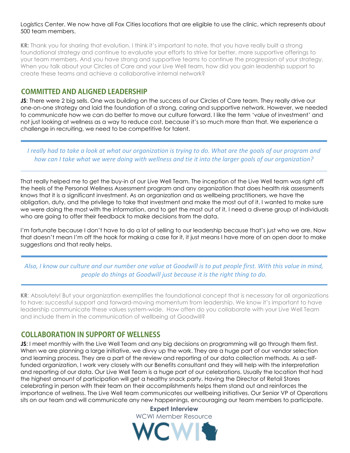#### Logistics Center. We now have all Fox Cities locations that are eligible to use the clinic, which represents about 500 team members.

**KR:** Thank you for sharing that evolution. I think it's important to note, that you have really built a strong foundational strategy and continue to evaluate your efforts to strive for better, more supportive offerings to your team members. And you have strong and supportive teams to continue the progression of your strategy. When you talk about your Circles of Care and your Live Well team, how did you gain leadership support to create these teams and achieve a collaborative internal network?

#### **COMMITTED AND ALIGNED LEADERSHIP**

**JS**: There were 2 big sells. One was building on the success of our Circles of Care team. They really drive our one-on-one strategy and laid the foundation of a strong, caring and supportive network. However, we needed to communicate how we can do better to move our culture forward. I like the term 'value of investment' and not just looking at wellness as a way to reduce cost, because it's so much more than that. We experience a challenge in recruiting, we need to be competitive for talent.

*I really had to take a look at what our organization is trying to do. What are the goals of our program and how can I take what we were doing with wellness and tie it into the larger goals of our organization?*

That really helped me to get the buy-in of our Live Well Team. The inception of the Live Well team was right off the heels of the Personal Wellness Assessment program and any organization that does health risk assessments knows that it is a significant investment. As an organization and as wellbeing practitioners, we have the obligation, duty, and the privilege to take that investment and make the most out of it. I wanted to make sure we were doing the most with the information, and to get the most out of it, I need a diverse group of individuals who are going to offer their feedback to make decisions from the data.

I'm fortunate because I don't have to do a lot of selling to our leadership because that's just who we are. Now that doesn't mean I'm off the hook for making a case for it, it just means I have more of an open door to make suggestions and that really helps.

#### *Also, I know our culture and our number one value at Goodwill is to put people first. With this value in mind, people do things at Goodwill just because it is the right thing to do.*

**KR**: Absolutely! But your organization exemplifies the foundational concept that is necessary for all organizations to have: successful support and forward-moving momentum from leadership. We know it's important to have leadership communicate these values system-wide. How often do you collaborate with your Live Well Team and include them in the communication of wellbeing at Goodwill?

#### **COLLABORATION IN SUPPORT OF WELLNESS**

**JS:** I meet monthly with the Live Well Team and any big decisions on programming will go through them first. When we are planning a large initiative, we divvy up the work. They are a huge part of our vendor selection and learning process. They are a part of the review and reporting of our data collection methods. As a selffunded organization, I work very closely with our Benefits consultant and they will help with the interpretation and reporting of our data. Our Live Well Team is a huge part of our celebrations. Usually the location that had the highest amount of participation will get a healthy snack party. Having the Director of Retail Stores celebrating in person with their team on their accomplishments helps them stand out and reinforces the importance of wellness. The Live Well team communicates our wellbeing initiatives. Our Senior VP of Operations sits on our team and will communicate any new happenings, encouraging our team members to participate.

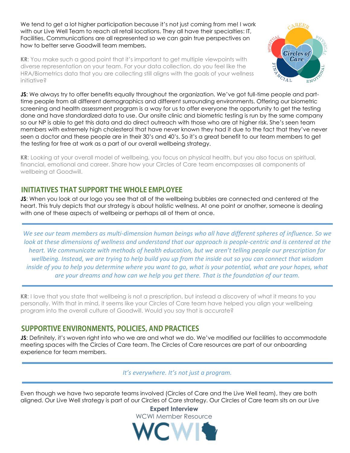We tend to get a lot higher participation because it's not just coming from me! I work with our Live Well Team to reach all retail locations. They all have their specialties: IT, Facilities, Communications are all represented so we can gain true perspectives on how to better serve Goodwill team members.

**KR**: You make such a good point that it's important to get multiple viewpoints with diverse representation on your team. For your data collection, do you feel like the HRA/Biometrics data that you are collecting still aligns with the goals of your wellness initiative?



**JS:** We always try to offer benefits equally throughout the organization. We've got full-time people and parttime people from all different demographics and different surrounding environments. Offering our biometric screening and health assessment program is a way for us to offer everyone the opportunity to get the testing done and have standardized data to use. Our onsite clinic and biometric testing is run by the same company so our NP is able to get this data and do direct outreach with those who are at higher risk. She's seen team members with extremely high cholesterol that have never known they had it due to the fact that they've never seen a doctor and these people are in their 30's and 40's. So it's a great benefit to our team members to get the testing for free at work as a part of our overall wellbeing strategy.

**KR**: Looking at your overall model of wellbeing, you focus on physical health, but you also focus on spiritual, financial, emotional and career. Share how your Circles of Care team encompasses all components of wellbeing at Goodwill.

#### **INITIATIVES THAT SUPPORT THE WHOLE EMPLOYEE**

**JS**: When you look at our logo you see that all of the wellbeing bubbles are connected and centered at the heart. This truly depicts that our strategy is about holistic wellness. At one point or another, someone is dealing with one of these aspects of wellbeing or perhaps all of them at once.

*We see our team members as multi-dimension human beings who all have different spheres of influence. So we look at these dimensions of wellness and understand that our approach is people-centric and is centered at the heart. We communicate with methods of health education, but we aren't telling people our prescription for wellbeing. Instead, we are trying to help build you up from the inside out so you can connect that wisdom inside of you to help you determine where you want to go, what is your potential, what are your hopes, what are your dreams and how can we help you get there. That is the foundation of our team.* 

**KR**: I love that you state that wellbeing is not a prescription, but instead a discovery of what it means to you personally. With that in mind, it seems like your Circles of Care team have helped you align your wellbeing program into the overall culture of Goodwill. Would you say that is accurate?

#### SUPPORTIVE ENVIRONMENTS, POLICIES, AND PRACTICES

**JS**: Definitely, it's woven right into who we are and what we do. We've modified our facilities to accommodate meeting spaces with the Circles of Care team. The Circles of Care resources are part of our onboarding experience for team members.

*It's everywhere. It's not just a program.* 

Even though we have two separate teams involved (Circles of Care and the Live Well team), they are both aligned. Our Live Well strategy is part of our Circles of Care strategy. Our Circles of Care team sits on our Live



**Expert Interview**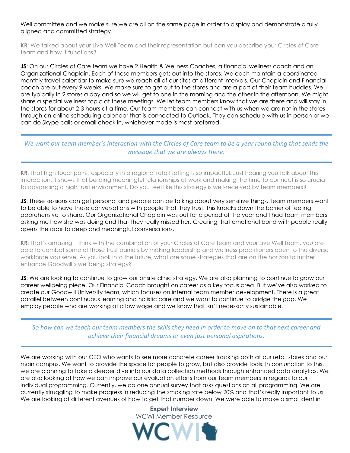Well committee and we make sure we are all on the same page in order to display and demonstrate a fully aligned and committed strategy.

**KR:** We talked about your Live Well Team and their representation but can you describe your Circles of Care team and how it functions?

**JS**: On our Circles of Care team we have 2 Health & Wellness Coaches, a financial wellness coach and an Organizational Chaplain. Each of these members gets out into the stores. We each maintain a coordinated monthly travel calendar to make sure we reach all of our sites at different intervals. Our Chaplain and Financial coach are out every 9 weeks. We make sure to get out to the stores and are a part of their team huddles. We are typically in 2 stores a day and so we will get to one in the morning and the other in the afternoon. We might share a special wellness topic at these meetings. We let team members know that we are there and will stay in the stores for about 2-3 hours at a time. Our team members can connect with us when we are not in the stores through an online scheduling calendar that is connected to Outlook. They can schedule with us in person or we can do Skype calls or email check in, whichever mode is most preferred.

*We want our team member's interaction with the Circles of Care team to be a year round thing that sends the message that we are always there.*

**KR**: That high touchpoint, especially in a regional retail setting is so impactful. Just hearing you talk about this interaction, it shows that building meaningful relationships at work and making the time to connect is so crucial to advancing a high trust environment. Do you feel like this strategy is well-received by team members?

**JS:** These sessions can get personal and people can be talking about very sensitive things. Team members want to be able to have these conversations with people that they trust. This knocks down the barrier of feeling apprehensive to share. Our Organizational Chaplain was out for a period of the year and I had team members asking me how she was doing and that they really missed her. Creating that emotional bond with people really opens the door to deep and meaningful conversations.

**KR:** That's amazing. I think with the combination of your Circles of Care team and your Live Well team, you are able to combat some of those trust barriers by making leadership and wellness practitioners open to the diverse workforce you serve. As you look into the future, what are some strategies that are on the horizon to further enhance Goodwill's wellbeing strategy?

**JS:** We are looking to continue to grow our onsite clinic strategy. We are also planning to continue to grow our career wellbeing piece. Our Financial Coach brought on career as a key focus area. But we've also worked to create our Goodwill University team, which focuses on internal team member development. There is a great parallel between continuous learning and holistic care and we want to continue to bridge the gap. We employ people who are working at a low wage and we know that isn't necessarily sustainable.

*So how can we teach our team members the skills they need in order to move on to that next career and achieve their financial dreams or even just personal aspirations.*

We are working with our CEO who wants to see more concrete career tracking both at our retail stores and our main campus. We want to provide the space for people to grow, but also provide tools. In conjunction to this, we are planning to take a deeper dive into our data collection methods through enhanced data analytics. We are also looking at how we can improve our evaluation efforts from our team members in regards to our individual programming. Currently, we do one annual survey that asks questions on all programming. We are currently struggling to make progress in reducing the smoking rate below 20% and that's really important to us. We are looking at different avenues of how to get that number down. We were able to make a small dent in

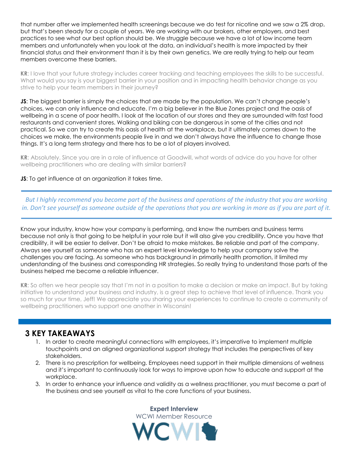that number after we implemented health screenings because we do test for nicotine and we saw a 2% drop, but that's been steady for a couple of years. We are working with our brokers, other employers, and best practices to see what our best option should be. We struggle because we have a lot of low income team members and unfortunately when you look at the data, an individual's health is more impacted by their financial status and their environment than it is by their own genetics. We are really trying to help our team members overcome these barriers.

**KR**: I love that your future strategy includes career tracking and teaching employees the skills to be successful. What would you say is your biggest barrier in your position and in impacting health behavior change as you strive to help your team members in their journey?

**JS:** The biggest barrier is simply the choices that are made by the population. We can't change people's choices, we can only influence and educate. I'm a big believer in the Blue Zones project and the oasis of wellbeing in a scene of poor health. I look at the location of our stores and they are surrounded with fast food restaurants and convenient stores. Walking and biking can be dangerous in some of the cities and not practical. So we can try to create this oasis of health at the workplace, but it ultimately comes down to the choices we make, the environments people live in and we don't always have the influence to change those things. It's a long term strategy and there has to be a lot of players involved.

**KR**: Absolutely. Since you are in a role of influence at Goodwill, what words of advice do you have for other wellbeing practitioners who are dealing with similar barriers?

#### **JS**: To get influence at an organization it takes time.

*But I highly recommend you become part of the business and operations of the industry that you are working in. Don't see yourself as someone outside of the operations that you are working in more as if you are part of it.*

Know your industry, know how your company is performing, and know the numbers and business terms because not only is that going to be helpful in your role but it will also give you credibility. Once you have that credibility, it will be easier to deliver. Don't be afraid to make mistakes. Be reliable and part of the company. Always see yourself as someone who has an expert level knowledge to help your company solve the challenges you are facing. As someone who has background in primarily health promotion, it limited my understanding of the business and corresponding HR strategies. So really trying to understand those parts of the business helped me become a reliable influencer.

**KR**: So often we hear people say that I'm not in a position to make a decision or make an impact. But by taking initiative to understand your business and industry, is a great step to achieve that level of influence. Thank you so much for your time, Jeff! We appreciate you sharing your experiences to continue to create a community of wellbeing practitioners who support one another in Wisconsin!

#### **3 KEY TAKEAWAYS**

- 1. In order to create meaningful connections with employees, it's imperative to implement multiple touchpoints and an aligned organizational support strategy that includes the perspectives of key stakeholders.
- 2. There is no prescription for wellbeing. Employees need support in their multiple dimensions of wellness and it's important to continuously look for ways to improve upon how to educate and support at the workplace.
- 3. In order to enhance your influence and validity as a wellness practitioner, you must become a part of the business and see yourself as vital to the core functions of your business.

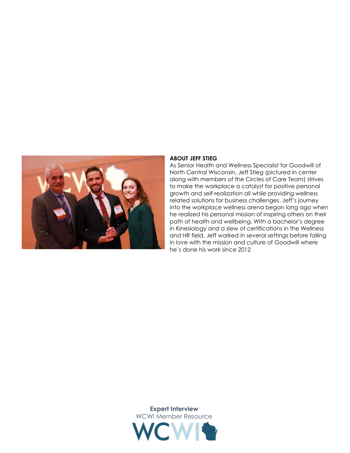

#### **ABOUT JEFF STIEG**

As Senior Health and Wellness Specialist for Goodwill of North Central Wisconsin, Jeff Stieg (pictured in center along with members of the Circles of Care Team) strives to make the workplace a catalyst for positive personal growth and self-realization all while providing wellness related solutions for business challenges. Jeff's journey into the workplace wellness arena began long ago when he realized his personal mission of inspiring others on their path of health and wellbeing. With a bachelor's degree in Kinesiology and a slew of certifications in the Wellness and HR field, Jeff worked in several settings before falling in love with the mission and culture of Goodwill where he's done his work since 2012